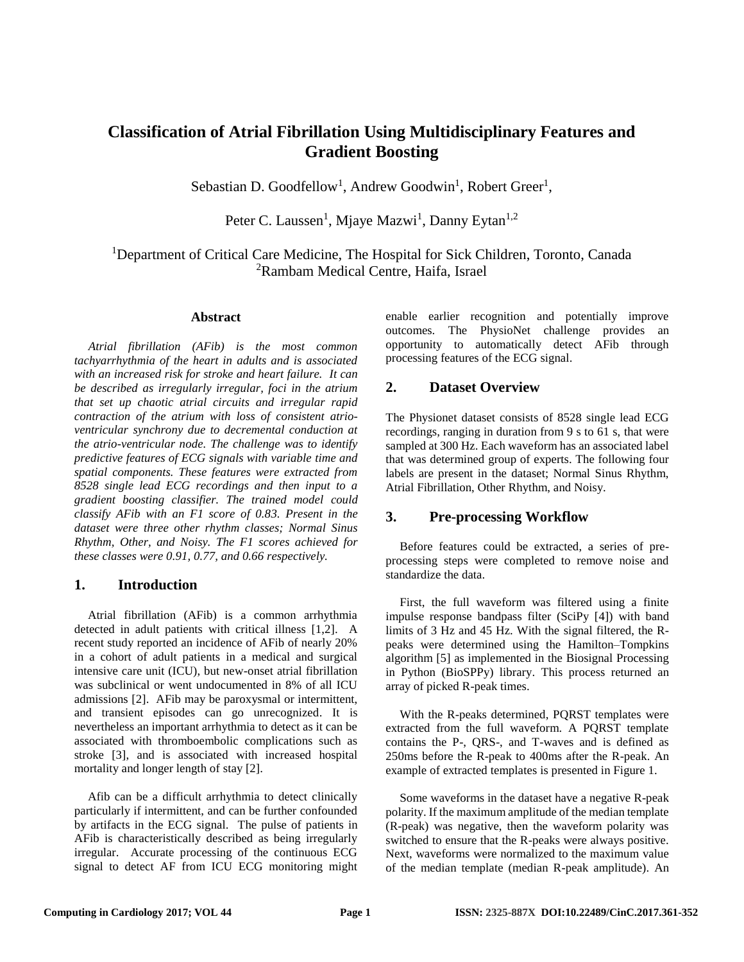# **Classification of Atrial Fibrillation Using Multidisciplinary Features and Gradient Boosting**

Sebastian D. Goodfellow<sup>1</sup>, Andrew Goodwin<sup>1</sup>, Robert Greer<sup>1</sup>,

Peter C. Laussen<sup>1</sup>, Mjaye Mazwi<sup>1</sup>, Danny Eytan<sup>1,2</sup>

<sup>1</sup>Department of Critical Care Medicine, The Hospital for Sick Children, Toronto, Canada <sup>2</sup>Rambam Medical Centre, Haifa, Israel

#### **Abstract**

*Atrial fibrillation (AFib) is the most common tachyarrhythmia of the heart in adults and is associated with an increased risk for stroke and heart failure. It can be described as irregularly irregular, foci in the atrium that set up chaotic atrial circuits and irregular rapid contraction of the atrium with loss of consistent atrioventricular synchrony due to decremental conduction at the atrio-ventricular node. The challenge was to identify predictive features of ECG signals with variable time and spatial components. These features were extracted from 8528 single lead ECG recordings and then input to a gradient boosting classifier. The trained model could classify AFib with an F1 score of 0.83. Present in the dataset were three other rhythm classes; Normal Sinus Rhythm, Other, and Noisy. The F1 scores achieved for these classes were 0.91, 0.77, and 0.66 respectively.*

# **1. Introduction**

Atrial fibrillation (AFib) is a common arrhythmia detected in adult patients with critical illness [1,2]. A recent study reported an incidence of AFib of nearly 20% in a cohort of adult patients in a medical and surgical intensive care unit (ICU), but new-onset atrial fibrillation was subclinical or went undocumented in 8% of all ICU admissions [2]. AFib may be paroxysmal or intermittent, and transient episodes can go unrecognized. It is nevertheless an important arrhythmia to detect as it can be associated with thromboembolic complications such as stroke [3], and is associated with increased hospital mortality and longer length of stay [2].

Afib can be a difficult arrhythmia to detect clinically particularly if intermittent, and can be further confounded by artifacts in the ECG signal. The pulse of patients in AFib is characteristically described as being irregularly irregular. Accurate processing of the continuous ECG signal to detect AF from ICU ECG monitoring might enable earlier recognition and potentially improve outcomes. The PhysioNet challenge provides an opportunity to automatically detect AFib through processing features of the ECG signal.

# **2. Dataset Overview**

The Physionet dataset consists of 8528 single lead ECG recordings, ranging in duration from 9 s to 61 s, that were sampled at 300 Hz. Each waveform has an associated label that was determined group of experts. The following four labels are present in the dataset; Normal Sinus Rhythm, Atrial Fibrillation, Other Rhythm, and Noisy.

# **3. Pre-processing Workflow**

Before features could be extracted, a series of preprocessing steps were completed to remove noise and standardize the data.

First, the full waveform was filtered using a finite impulse response bandpass filter (SciPy [4]) with band limits of 3 Hz and 45 Hz. With the signal filtered, the Rpeaks were determined using the Hamilton–Tompkins algorithm [5] as implemented in the Biosignal Processing in Python (BioSPPy) library. This process returned an array of picked R-peak times.

With the R-peaks determined, PQRST templates were extracted from the full waveform. A PQRST template contains the P-, QRS-, and T-waves and is defined as 250ms before the R-peak to 400ms after the R-peak. An example of extracted templates is presented in Figure 1.

Some waveforms in the dataset have a negative R-peak polarity. If the maximum amplitude of the median template (R-peak) was negative, then the waveform polarity was switched to ensure that the R-peaks were always positive. Next, waveforms were normalized to the maximum value of the median template (median R-peak amplitude). An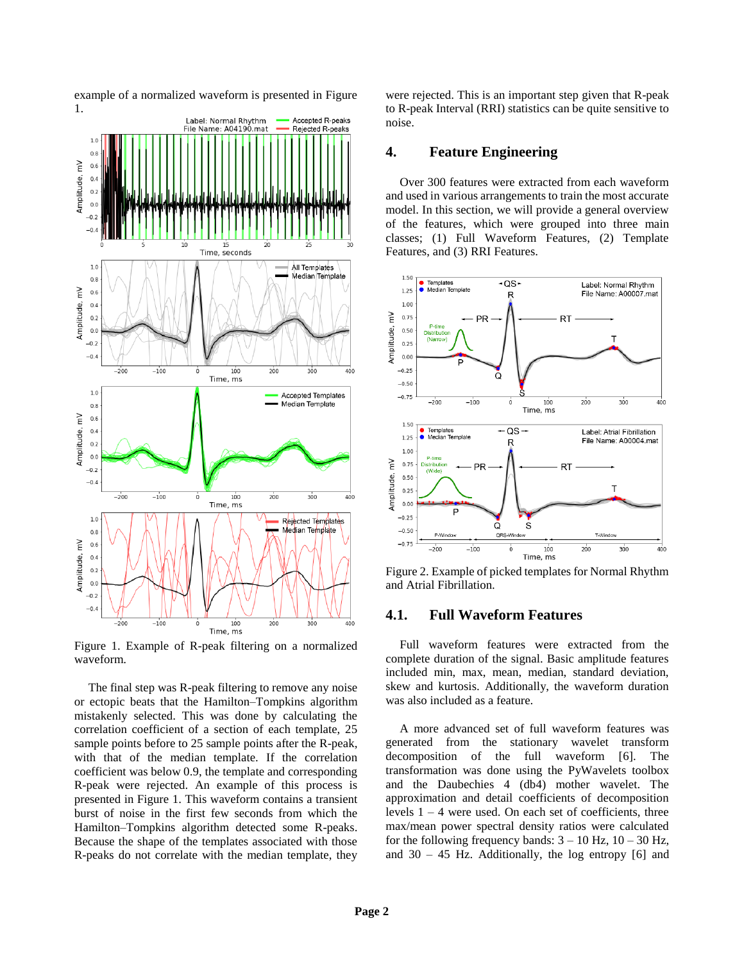

example of a normalized waveform is presented in Figure 1.

Figure 1. Example of R-peak filtering on a normalized waveform.

The final step was R-peak filtering to remove any noise or ectopic beats that the Hamilton–Tompkins algorithm mistakenly selected. This was done by calculating the correlation coefficient of a section of each template, 25 sample points before to 25 sample points after the R-peak, with that of the median template. If the correlation coefficient was below 0.9, the template and corresponding R-peak were rejected. An example of this process is presented in Figure 1. This waveform contains a transient burst of noise in the first few seconds from which the Hamilton–Tompkins algorithm detected some R-peaks. Because the shape of the templates associated with those R-peaks do not correlate with the median template, they

were rejected. This is an important step given that R-peak to R-peak Interval (RRI) statistics can be quite sensitive to noise.

#### **4. Feature Engineering**

Over 300 features were extracted from each waveform and used in various arrangements to train the most accurate model. In this section, we will provide a general overview of the features, which were grouped into three main classes; (1) Full Waveform Features, (2) Template Features, and (3) RRI Features.



Figure 2. Example of picked templates for Normal Rhythm and Atrial Fibrillation.

# **4.1. Full Waveform Features**

Full waveform features were extracted from the complete duration of the signal. Basic amplitude features included min, max, mean, median, standard deviation, skew and kurtosis. Additionally, the waveform duration was also included as a feature.

A more advanced set of full waveform features was generated from the stationary wavelet transform decomposition of the full waveform [6]. The transformation was done using the PyWavelets toolbox and the Daubechies 4 (db4) mother wavelet. The approximation and detail coefficients of decomposition levels  $1 - 4$  were used. On each set of coefficients, three max/mean power spectral density ratios were calculated for the following frequency bands:  $3 - 10$  Hz,  $10 - 30$  Hz, and  $30 - 45$  Hz. Additionally, the log entropy [6] and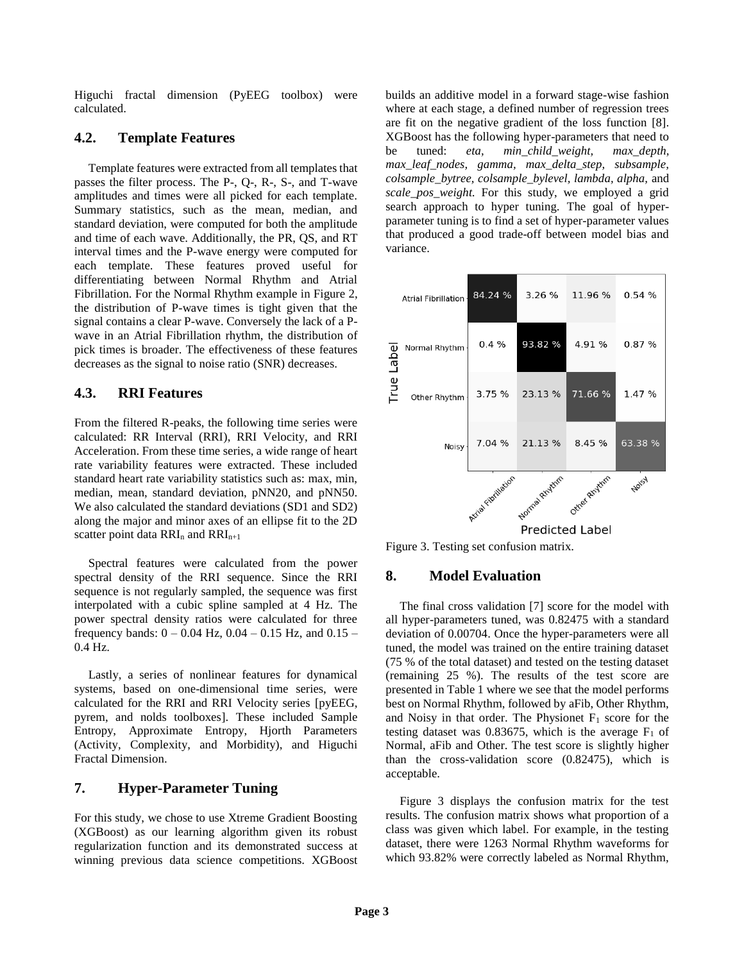Higuchi fractal dimension (PyEEG toolbox) were calculated.

# **4.2. Template Features**

Template features were extracted from all templates that passes the filter process. The P-, Q-, R-, S-, and T-wave amplitudes and times were all picked for each template. Summary statistics, such as the mean, median, and standard deviation, were computed for both the amplitude and time of each wave. Additionally, the PR, QS, and RT interval times and the P-wave energy were computed for each template. These features proved useful for differentiating between Normal Rhythm and Atrial Fibrillation. For the Normal Rhythm example in Figure 2, the distribution of P-wave times is tight given that the signal contains a clear P-wave. Conversely the lack of a Pwave in an Atrial Fibrillation rhythm, the distribution of pick times is broader. The effectiveness of these features decreases as the signal to noise ratio (SNR) decreases.

# **4.3. RRI Features**

From the filtered R-peaks, the following time series were calculated: RR Interval (RRI), RRI Velocity, and RRI Acceleration. From these time series, a wide range of heart rate variability features were extracted. These included standard heart rate variability statistics such as: max, min, median, mean, standard deviation, pNN20, and pNN50. We also calculated the standard deviations (SD1 and SD2) along the major and minor axes of an ellipse fit to the 2D scatter point data  $RRI_n$  and  $RRI_{n+1}$ 

Spectral features were calculated from the power spectral density of the RRI sequence. Since the RRI sequence is not regularly sampled, the sequence was first interpolated with a cubic spline sampled at 4 Hz. The power spectral density ratios were calculated for three frequency bands:  $0 - 0.04$  Hz,  $0.04 - 0.15$  Hz, and  $0.15 -$ 0.4 Hz.

Lastly, a series of nonlinear features for dynamical systems, based on one-dimensional time series, were calculated for the RRI and RRI Velocity series [pyEEG, pyrem, and nolds toolboxes]. These included Sample Entropy, Approximate Entropy, Hjorth Parameters (Activity, Complexity, and Morbidity), and Higuchi Fractal Dimension.

# **7. Hyper-Parameter Tuning**

For this study, we chose to use Xtreme Gradient Boosting (XGBoost) as our learning algorithm given its robust regularization function and its demonstrated success at winning previous data science competitions. XGBoost

builds an additive model in a forward stage-wise fashion where at each stage, a defined number of regression trees are fit on the negative gradient of the loss function [8]. XGBoost has the following hyper-parameters that need to be tuned: *eta, min\_child\_weight, max\_depth, max\_leaf\_nodes, gamma, max\_delta\_step, subsample, colsample\_bytree, colsample\_bylevel, lambda, alpha,* and *scale\_pos\_weight.* For this study, we employed a grid search approach to hyper tuning. The goal of hyperparameter tuning is to find a set of hyper-parameter values that produced a good trade-off between model bias and variance.



Figure 3. Testing set confusion matrix.

# **8. Model Evaluation**

The final cross validation [7] score for the model with all hyper-parameters tuned, was 0.82475 with a standard deviation of 0.00704. Once the hyper-parameters were all tuned, the model was trained on the entire training dataset (75 % of the total dataset) and tested on the testing dataset (remaining 25 %). The results of the test score are presented in Table 1 where we see that the model performs best on Normal Rhythm, followed by aFib, Other Rhythm, and Noisy in that order. The Physionet  $F_1$  score for the testing dataset was 0.83675, which is the average  $F_1$  of Normal, aFib and Other. The test score is slightly higher than the cross-validation score (0.82475), which is acceptable.

Figure 3 displays the confusion matrix for the test results. The confusion matrix shows what proportion of a class was given which label. For example, in the testing dataset, there were 1263 Normal Rhythm waveforms for which 93.82% were correctly labeled as Normal Rhythm,